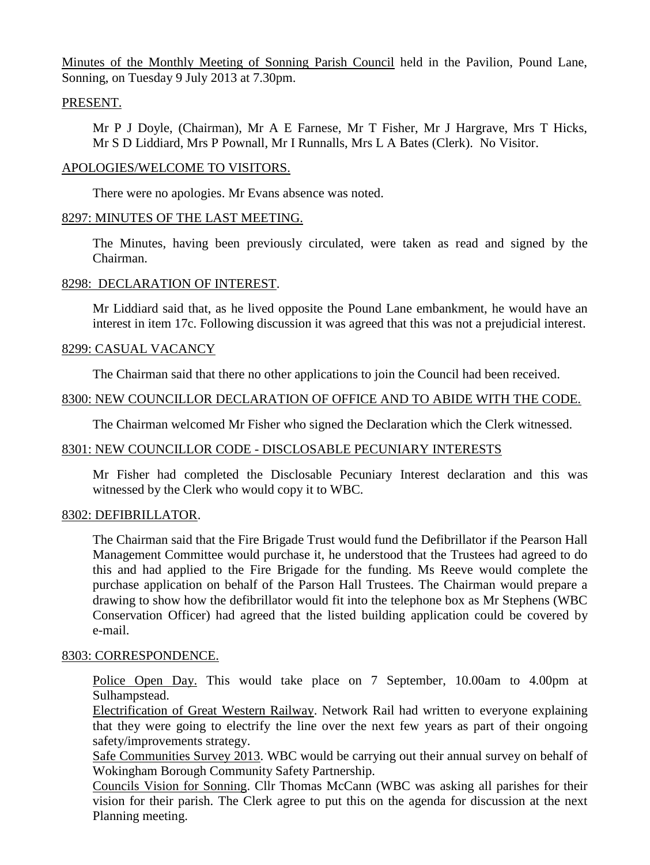Minutes of the Monthly Meeting of Sonning Parish Council held in the Pavilion, Pound Lane, Sonning, on Tuesday 9 July 2013 at 7.30pm.

## PRESENT.

Mr P J Doyle, (Chairman), Mr A E Farnese, Mr T Fisher, Mr J Hargrave, Mrs T Hicks, Mr S D Liddiard, Mrs P Pownall, Mr I Runnalls, Mrs L A Bates (Clerk). No Visitor.

## APOLOGIES/WELCOME TO VISITORS.

There were no apologies. Mr Evans absence was noted.

# 8297: MINUTES OF THE LAST MEETING.

The Minutes, having been previously circulated, were taken as read and signed by the Chairman.

## 8298: DECLARATION OF INTEREST.

Mr Liddiard said that, as he lived opposite the Pound Lane embankment, he would have an interest in item 17c. Following discussion it was agreed that this was not a prejudicial interest.

# 8299: CASUAL VACANCY

The Chairman said that there no other applications to join the Council had been received.

# 8300: NEW COUNCILLOR DECLARATION OF OFFICE AND TO ABIDE WITH THE CODE.

The Chairman welcomed Mr Fisher who signed the Declaration which the Clerk witnessed.

## 8301: NEW COUNCILLOR CODE - DISCLOSABLE PECUNIARY INTERESTS

Mr Fisher had completed the Disclosable Pecuniary Interest declaration and this was witnessed by the Clerk who would copy it to WBC.

## 8302: DEFIBRILLATOR.

The Chairman said that the Fire Brigade Trust would fund the Defibrillator if the Pearson Hall Management Committee would purchase it, he understood that the Trustees had agreed to do this and had applied to the Fire Brigade for the funding. Ms Reeve would complete the purchase application on behalf of the Parson Hall Trustees. The Chairman would prepare a drawing to show how the defibrillator would fit into the telephone box as Mr Stephens (WBC Conservation Officer) had agreed that the listed building application could be covered by e-mail.

# 8303: CORRESPONDENCE.

Police Open Day. This would take place on 7 September, 10.00am to 4.00pm at Sulhampstead.

Electrification of Great Western Railway. Network Rail had written to everyone explaining that they were going to electrify the line over the next few years as part of their ongoing safety/improvements strategy.

Safe Communities Survey 2013. WBC would be carrying out their annual survey on behalf of Wokingham Borough Community Safety Partnership.

Councils Vision for Sonning. Cllr Thomas McCann (WBC was asking all parishes for their vision for their parish. The Clerk agree to put this on the agenda for discussion at the next Planning meeting.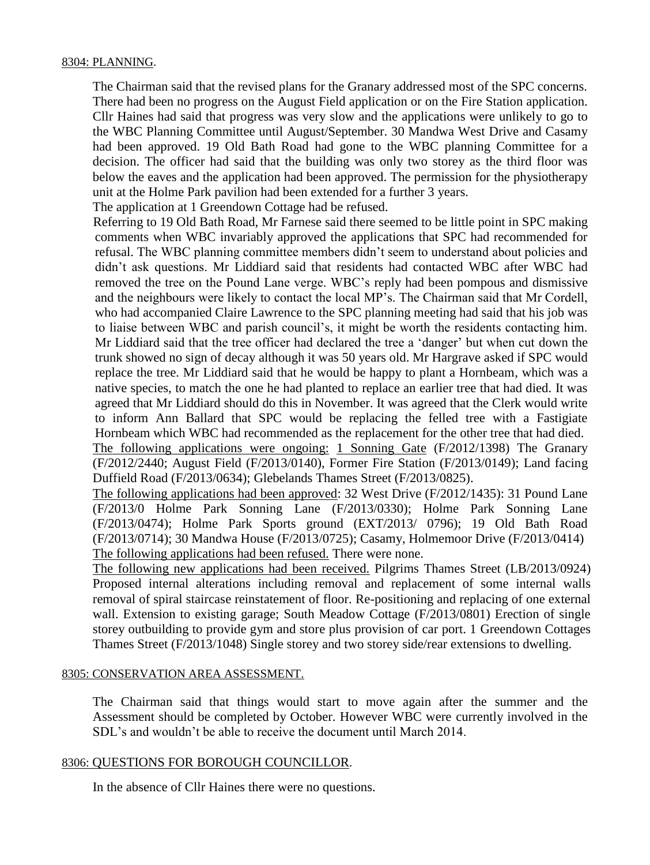#### 8304: PLANNING.

The Chairman said that the revised plans for the Granary addressed most of the SPC concerns. There had been no progress on the August Field application or on the Fire Station application. Cllr Haines had said that progress was very slow and the applications were unlikely to go to the WBC Planning Committee until August/September. 30 Mandwa West Drive and Casamy had been approved. 19 Old Bath Road had gone to the WBC planning Committee for a decision. The officer had said that the building was only two storey as the third floor was below the eaves and the application had been approved. The permission for the physiotherapy unit at the Holme Park pavilion had been extended for a further 3 years.

The application at 1 Greendown Cottage had be refused.

 Referring to 19 Old Bath Road, Mr Farnese said there seemed to be little point in SPC making comments when WBC invariably approved the applications that SPC had recommended for refusal. The WBC planning committee members didn't seem to understand about policies and didn't ask questions. Mr Liddiard said that residents had contacted WBC after WBC had removed the tree on the Pound Lane verge. WBC's reply had been pompous and dismissive and the neighbours were likely to contact the local MP's. The Chairman said that Mr Cordell, who had accompanied Claire Lawrence to the SPC planning meeting had said that his job was to liaise between WBC and parish council's, it might be worth the residents contacting him. Mr Liddiard said that the tree officer had declared the tree a 'danger' but when cut down the trunk showed no sign of decay although it was 50 years old. Mr Hargrave asked if SPC would replace the tree. Mr Liddiard said that he would be happy to plant a Hornbeam, which was a native species, to match the one he had planted to replace an earlier tree that had died. It was agreed that Mr Liddiard should do this in November. It was agreed that the Clerk would write to inform Ann Ballard that SPC would be replacing the felled tree with a Fastigiate Hornbeam which WBC had recommended as the replacement for the other tree that had died. The following applications were ongoing: 1 Sonning Gate (F/2012/1398) The Granary (F/2012/2440; August Field (F/2013/0140), Former Fire Station (F/2013/0149); Land facing

The following applications had been approved: 32 West Drive (F/2012/1435): 31 Pound Lane (F/2013/0 Holme Park Sonning Lane (F/2013/0330); Holme Park Sonning Lane (F/2013/0474); Holme Park Sports ground (EXT/2013/ 0796); 19 Old Bath Road (F/2013/0714); 30 Mandwa House (F/2013/0725); Casamy, Holmemoor Drive (F/2013/0414) The following applications had been refused. There were none.

Duffield Road (F/2013/0634); Glebelands Thames Street (F/2013/0825).

The following new applications had been received. Pilgrims Thames Street (LB/2013/0924) Proposed internal alterations including removal and replacement of some internal walls removal of spiral staircase reinstatement of floor. Re-positioning and replacing of one external wall. Extension to existing garage; South Meadow Cottage (F/2013/0801) Erection of single storey outbuilding to provide gym and store plus provision of car port. 1 Greendown Cottages Thames Street (F/2013/1048) Single storey and two storey side/rear extensions to dwelling.

#### 8305: CONSERVATION AREA ASSESSMENT.

The Chairman said that things would start to move again after the summer and the Assessment should be completed by October. However WBC were currently involved in the SDL's and wouldn't be able to receive the document until March 2014.

## 8306: QUESTIONS FOR BOROUGH COUNCILLOR.

In the absence of Cllr Haines there were no questions.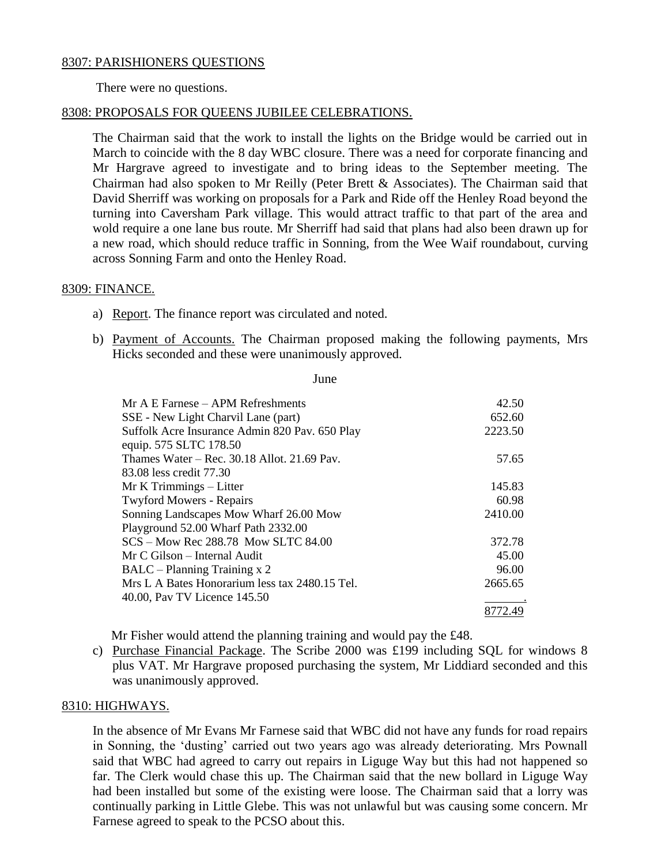#### 8307: PARISHIONERS QUESTIONS

There were no questions.

#### 8308: PROPOSALS FOR QUEENS JUBILEE CELEBRATIONS.

The Chairman said that the work to install the lights on the Bridge would be carried out in March to coincide with the 8 day WBC closure. There was a need for corporate financing and Mr Hargrave agreed to investigate and to bring ideas to the September meeting. The Chairman had also spoken to Mr Reilly (Peter Brett & Associates). The Chairman said that David Sherriff was working on proposals for a Park and Ride off the Henley Road beyond the turning into Caversham Park village. This would attract traffic to that part of the area and wold require a one lane bus route. Mr Sherriff had said that plans had also been drawn up for a new road, which should reduce traffic in Sonning, from the Wee Waif roundabout, curving across Sonning Farm and onto the Henley Road.

#### 8309: FINANCE.

- a) Report. The finance report was circulated and noted.
- b) Payment of Accounts. The Chairman proposed making the following payments, Mrs Hicks seconded and these were unanimously approved.

June

| Mr A E Farnese – APM Refreshments              | 42.50   |
|------------------------------------------------|---------|
| SSE - New Light Charvil Lane (part)            | 652.60  |
| Suffolk Acre Insurance Admin 820 Pav. 650 Play | 2223.50 |
| equip. 575 SLTC 178.50                         |         |
| Thames Water $-$ Rec. 30.18 Allot. 21.69 Pav.  | 57.65   |
| 83.08 less credit 77.30                        |         |
| Mr K Trimmings – Litter                        | 145.83  |
| <b>Twyford Mowers - Repairs</b>                | 60.98   |
| Sonning Landscapes Mow Wharf 26.00 Mow         | 2410.00 |
| Playground 52.00 Wharf Path 2332.00            |         |
| SCS – Mow Rec 288.78 Mow SLTC 84.00            | 372.78  |
| Mr C Gilson – Internal Audit                   | 45.00   |
| BALC – Planning Training x 2                   | 96.00   |
| Mrs L A Bates Honorarium less tax 2480.15 Tel. | 2665.65 |
| 40.00, Pav TV Licence 145.50                   |         |
|                                                | 8772.49 |

Mr Fisher would attend the planning training and would pay the £48.

c) Purchase Financial Package. The Scribe 2000 was £199 including SQL for windows 8 plus VAT. Mr Hargrave proposed purchasing the system, Mr Liddiard seconded and this was unanimously approved.

#### 8310: HIGHWAYS.

In the absence of Mr Evans Mr Farnese said that WBC did not have any funds for road repairs in Sonning, the 'dusting' carried out two years ago was already deteriorating. Mrs Pownall said that WBC had agreed to carry out repairs in Liguge Way but this had not happened so far. The Clerk would chase this up. The Chairman said that the new bollard in Liguge Way had been installed but some of the existing were loose. The Chairman said that a lorry was continually parking in Little Glebe. This was not unlawful but was causing some concern. Mr Farnese agreed to speak to the PCSO about this.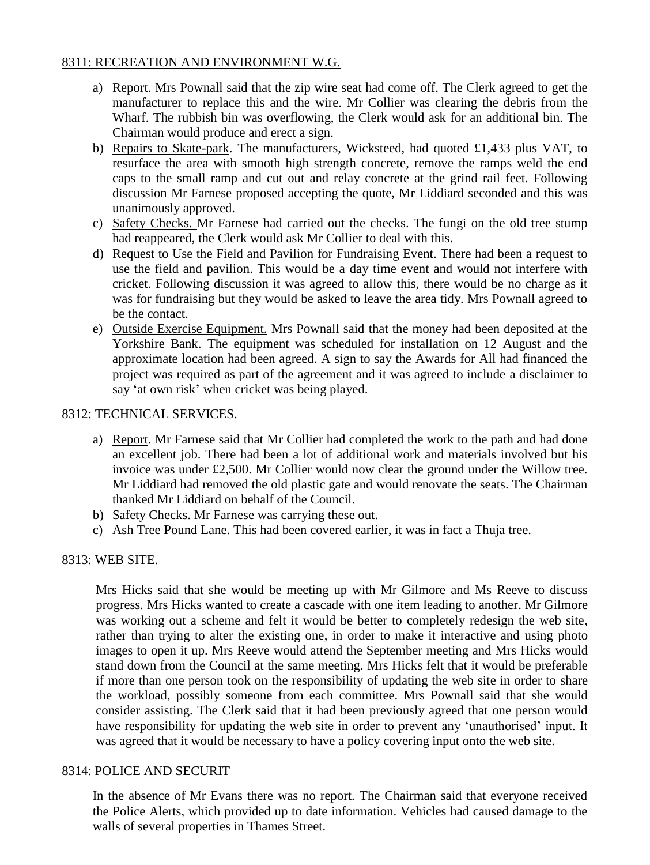# 8311: RECREATION AND ENVIRONMENT W.G.

- a) Report. Mrs Pownall said that the zip wire seat had come off. The Clerk agreed to get the manufacturer to replace this and the wire. Mr Collier was clearing the debris from the Wharf. The rubbish bin was overflowing, the Clerk would ask for an additional bin. The Chairman would produce and erect a sign.
- b) Repairs to Skate-park. The manufacturers, Wicksteed, had quoted £1,433 plus VAT, to resurface the area with smooth high strength concrete, remove the ramps weld the end caps to the small ramp and cut out and relay concrete at the grind rail feet. Following discussion Mr Farnese proposed accepting the quote, Mr Liddiard seconded and this was unanimously approved.
- c) Safety Checks. Mr Farnese had carried out the checks. The fungi on the old tree stump had reappeared, the Clerk would ask Mr Collier to deal with this.
- d) Request to Use the Field and Pavilion for Fundraising Event. There had been a request to use the field and pavilion. This would be a day time event and would not interfere with cricket. Following discussion it was agreed to allow this, there would be no charge as it was for fundraising but they would be asked to leave the area tidy. Mrs Pownall agreed to be the contact.
- e) Outside Exercise Equipment. Mrs Pownall said that the money had been deposited at the Yorkshire Bank. The equipment was scheduled for installation on 12 August and the approximate location had been agreed. A sign to say the Awards for All had financed the project was required as part of the agreement and it was agreed to include a disclaimer to say 'at own risk' when cricket was being played.

# 8312: TECHNICAL SERVICES.

- a) Report. Mr Farnese said that Mr Collier had completed the work to the path and had done an excellent job. There had been a lot of additional work and materials involved but his invoice was under £2,500. Mr Collier would now clear the ground under the Willow tree. Mr Liddiard had removed the old plastic gate and would renovate the seats. The Chairman thanked Mr Liddiard on behalf of the Council.
- b) Safety Checks. Mr Farnese was carrying these out.
- c) Ash Tree Pound Lane. This had been covered earlier, it was in fact a Thuja tree.

## 8313: WEB SITE.

Mrs Hicks said that she would be meeting up with Mr Gilmore and Ms Reeve to discuss progress. Mrs Hicks wanted to create a cascade with one item leading to another. Mr Gilmore was working out a scheme and felt it would be better to completely redesign the web site, rather than trying to alter the existing one, in order to make it interactive and using photo images to open it up. Mrs Reeve would attend the September meeting and Mrs Hicks would stand down from the Council at the same meeting. Mrs Hicks felt that it would be preferable if more than one person took on the responsibility of updating the web site in order to share the workload, possibly someone from each committee. Mrs Pownall said that she would consider assisting. The Clerk said that it had been previously agreed that one person would have responsibility for updating the web site in order to prevent any 'unauthorised' input. It was agreed that it would be necessary to have a policy covering input onto the web site.

## 8314: POLICE AND SECURIT

In the absence of Mr Evans there was no report. The Chairman said that everyone received the Police Alerts, which provided up to date information. Vehicles had caused damage to the walls of several properties in Thames Street.